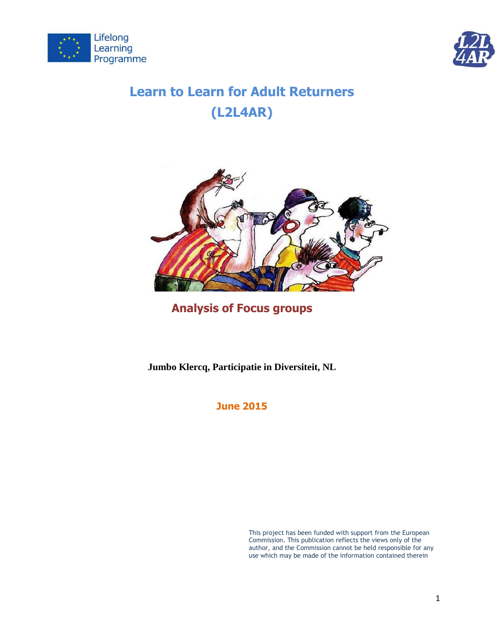



# **Learn to Learn for Adult Returners (L2L4AR)**



## **Analysis of Focus groups**

**Jumbo Klercq, Participatie in Diversiteit, NL**

**June 2015**

This project has been funded with support from the European Commission. This publication reflects the views only of the author, and the Commission cannot be held responsible for any use which may be made of the information contained therein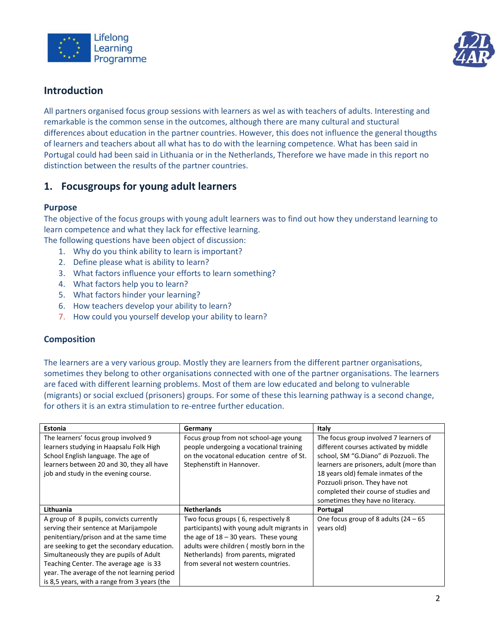



### **Introduction**

All partners organised focus group sessions with learners as wel as with teachers of adults. Interesting and remarkable is the common sense in the outcomes, although there are many cultural and stuctural differences about education in the partner countries. However, this does not influence the general thougths of learners and teachers about all what has to do with the learning competence. What has been said in Portugal could had been said in Lithuania or in the Netherlands, Therefore we have made in this report no distinction between the results of the partner countries.

### **1. Focusgroups for young adult learners**

### **Purpose**

The objective of the focus groups with young adult learners was to find out how they understand learning to learn competence and what they lack for effective learning.

- The following questions have been object of discussion: 1. Why do you think ability to learn is important?
	- 2. Define please what is ability to learn?
	- 3. What factors influence your efforts to learn something?
	- 4. What factors help you to learn?
	- 5. What factors hinder your learning?
	- 6. How teachers develop your ability to learn?
	- 7. How could you yourself develop your ability to learn?

### **Composition**

The learners are a very various group. Mostly they are learners from the different partner organisations, sometimes they belong to other organisations connected with one of the partner organisations. The learners are faced with different learning problems. Most of them are low educated and belong to vulnerable (migrants) or social exclued (prisoners) groups. For some of these this learning pathway is a second change, for others it is an extra stimulation to re-entree further education.

| Estonia                                      | Germany                                    | Italy                                    |
|----------------------------------------------|--------------------------------------------|------------------------------------------|
| The learners' focus group involved 9         | Focus group from not school-age young      | The focus group involved 7 learners of   |
| learners studying in Haapsalu Folk High      | people undergoing a vocational training    | different courses activated by middle    |
| School English language. The age of          | on the vocatonal education centre of St.   | school, SM "G.Diano" di Pozzuoli. The    |
| learners between 20 and 30, they all have    | Stephenstift in Hannover.                  | learners are prisoners, adult (more than |
| job and study in the evening course.         |                                            | 18 years old) female inmates of the      |
|                                              |                                            | Pozzuoli prison. They have not           |
|                                              |                                            | completed their course of studies and    |
|                                              |                                            | sometimes they have no literacy.         |
| Lithuania                                    | <b>Netherlands</b>                         | Portugal                                 |
| A group of 8 pupils, convicts currently      | Two focus groups (6, respectively 8        | One focus group of 8 adults $(24 - 65)$  |
| serving their sentence at Marijampole        | participants) with young adult migrants in | years old)                               |
| penitentiary/prison and at the same time     | the age of $18 - 30$ years. These young    |                                          |
| are seeking to get the secondary education.  | adults were children (mostly born in the   |                                          |
| Simultaneously they are pupils of Adult      | Netherlands) from parents, migrated        |                                          |
| Teaching Center. The average age is 33       | from several not western countries.        |                                          |
| year. The average of the not learning period |                                            |                                          |
| is 8.5 years, with a range from 3 years (the |                                            |                                          |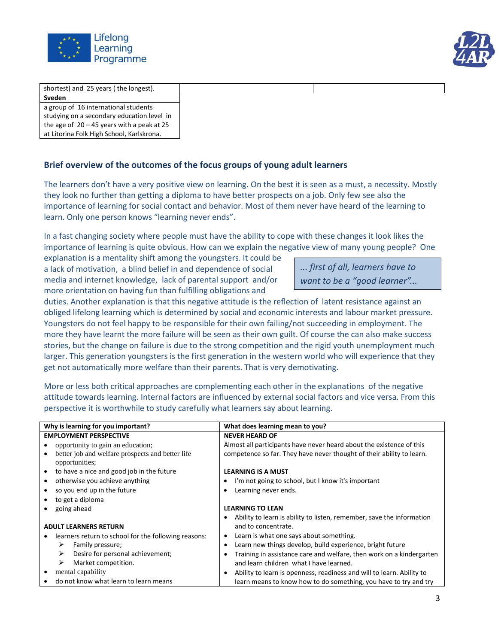



| shortest) and 25 years (the longest).        |  |
|----------------------------------------------|--|
| Sveden                                       |  |
| a group of 16 international students         |  |
| studying on a secondary education level in   |  |
| the age of $20 - 45$ years with a peak at 25 |  |
| at Litorina Folk High School, Karlskrona.    |  |

### **Brief overview of the outcomes of the focus groups of young adult learners**

The learners don't have a very positive view on learning. On the best it is seen as a must, a necessity. Mostly they look no further than getting a diploma to have better prospects on a job. Only few see also the importance of learning for social contact and behavior. Most of them never have heard of the learning to learn. Only one person knows "learning never ends".

In a fast changing society where people must have the ability to cope with these changes it look likes the importance of learning is quite obvious. How can we explain the negative view of many young people? One

explanation is a mentality shift among the youngsters. It could be a lack of motivation, a blind belief in and dependence of social media and internet knowledge, lack of parental support and/or more orientation on having fun than fulfilling obligations and

*... first of all, learners have to want to be a "good learner"...* 

duties. Another explanation is that this negative attitude is the reflection of latent resistance against an obliged lifelong learning which is determined by social and economic interests and labour market pressure. Youngsters do not feel happy to be responsible for their own failing/not succeeding in employment. The more they have learnt the more failure will be seen as their own guilt. Of course the can also make success stories, but the change on failure is due to the strong competition and the rigid youth unemployment much larger. This generation youngsters is the first generation in the western world who will experience that they get not automatically more welfare than their parents. That is very demotivating.

More or less both critical approaches are complementing each other in the explanations of the negative attitude towards learning. Internal factors are influenced by external social factors and vice versa. From this perspective it is worthwhile to study carefully what learners say about learning.

| Why is learning for you important?                                 | What does learning mean to you?                                       |
|--------------------------------------------------------------------|-----------------------------------------------------------------------|
| <b>EMPLOYMENT PERSPECTIVE</b>                                      | <b>NEVER HEARD OF</b>                                                 |
| opportunity to gain an education;                                  | Almost all participants have never heard about the existence of this  |
| better job and welfare prospects and better life<br>opportunities; | competence so far. They have never thought of their ability to learn. |
| to have a nice and good job in the future<br>$\bullet$             | <b>LEARNING IS A MUST</b>                                             |
| otherwise you achieve anything                                     | I'm not going to school, but I know it's important                    |
| so you end up in the future                                        | Learning never ends.                                                  |
| to get a diploma                                                   |                                                                       |
| going ahead                                                        | <b>LEARNING TO LEAN</b>                                               |
|                                                                    | Ability to learn is ability to listen, remember, save the information |
| <b>ADULT LEARNERS RETURN</b>                                       | and to concentrate.                                                   |
| learners return to school for the following reasons:               | Learn is what one says about something.<br>٠                          |
| Family pressure;<br>➤                                              | Learn new things develop, build experience, bright future             |
| Desire for personal achievement;<br>➤                              | Training in assistance care and welfare, then work on a kindergarten  |
| ➤<br>Market competition.                                           | and learn children what I have learned.                               |
| mental capability                                                  | Ability to learn is openness, readiness and will to learn. Ability to |
| do not know what learn to learn means                              | learn means to know how to do something, you have to try and try      |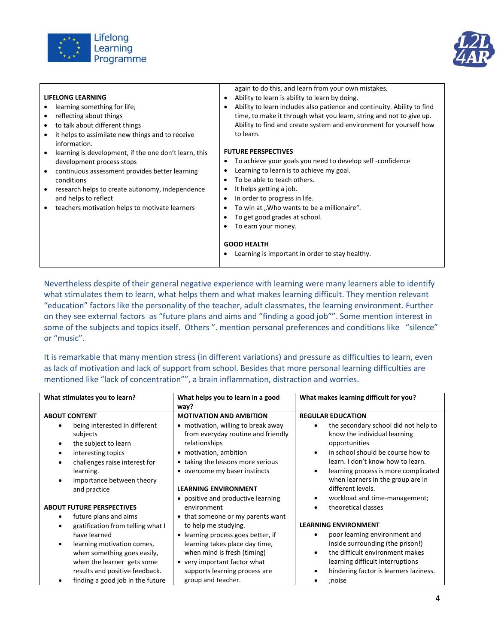



| <b>LIFELONG LEARNING</b><br>learning something for life;<br>reflecting about things<br>to talk about different things<br>٠<br>it helps to assimilate new things and to receive<br>information.<br>learning is development, if the one don't learn, this<br>development process stops<br>continuous assessment provides better learning<br>conditions<br>research helps to create autonomy, independence<br>and helps to reflect<br>teachers motivation helps to motivate learners | again to do this, and learn from your own mistakes.<br>Ability to learn is ability to learn by doing.<br>$\bullet$<br>Ability to learn includes also patience and continuity. Ability to find<br>٠<br>time, to make it through what you learn, string and not to give up.<br>Ability to find and create system and environment for yourself how<br>to learn.<br><b>FUTURE PERSPECTIVES</b><br>To achieve your goals you need to develop self-confidence<br>٠<br>Learning to learn is to achieve my goal.<br>To be able to teach others.<br>٠<br>It helps getting a job.<br>٠<br>In order to progress in life.<br>٠<br>To win at "Who wants to be a millionaire".<br>٠<br>To get good grades at school.<br>$\bullet$<br>To earn your money.<br><b>GOOD HEALTH</b><br>Learning is important in order to stay healthy. |
|-----------------------------------------------------------------------------------------------------------------------------------------------------------------------------------------------------------------------------------------------------------------------------------------------------------------------------------------------------------------------------------------------------------------------------------------------------------------------------------|---------------------------------------------------------------------------------------------------------------------------------------------------------------------------------------------------------------------------------------------------------------------------------------------------------------------------------------------------------------------------------------------------------------------------------------------------------------------------------------------------------------------------------------------------------------------------------------------------------------------------------------------------------------------------------------------------------------------------------------------------------------------------------------------------------------------|
|-----------------------------------------------------------------------------------------------------------------------------------------------------------------------------------------------------------------------------------------------------------------------------------------------------------------------------------------------------------------------------------------------------------------------------------------------------------------------------------|---------------------------------------------------------------------------------------------------------------------------------------------------------------------------------------------------------------------------------------------------------------------------------------------------------------------------------------------------------------------------------------------------------------------------------------------------------------------------------------------------------------------------------------------------------------------------------------------------------------------------------------------------------------------------------------------------------------------------------------------------------------------------------------------------------------------|

Nevertheless despite of their general negative experience with learning were many learners able to identify what stimulates them to learn, what helps them and what makes learning difficult. They mention relevant "education" factors like the personality of the teacher, adult classmates, the learning environment. Further on they see external factors as "future plans and aims and "finding a good job"". Some mention interest in some of the subjects and topics itself. Others ". mention personal preferences and conditions like "silence" or "music".

It is remarkable that many mention stress (in different variations) and pressure as difficulties to learn, even as lack of motivation and lack of support from school. Besides that more personal learning difficulties are mentioned like "lack of concentration"", a brain inflammation, distraction and worries.

| What stimulates you to learn?     | What helps you to learn in a good             | What makes learning difficult for you? |
|-----------------------------------|-----------------------------------------------|----------------------------------------|
|                                   | way?                                          |                                        |
| <b>ABOUT CONTENT</b>              | <b>MOTIVATION AND AMBITION</b>                | <b>REGULAR EDUCATION</b>               |
| being interested in different     | • motivation, willing to break away           | the secondary school did not help to   |
| subjects                          | from everyday routine and friendly            | know the individual learning           |
| the subject to learn              | relationships                                 | opportunities                          |
| interesting topics                | • motivation, ambition                        | in school should be course how to      |
| challenges raise interest for     | • taking the lessons more serious             | learn. I don't know how to learn.      |
| learning.                         | • overcome my baser instincts                 | learning process is more complicated   |
| importance between theory         |                                               | when learners in the group are in      |
| and practice                      | <b>LEARNING ENVIRONMENT</b>                   | different levels.                      |
|                                   | • positive and productive learning            | workload and time-management;          |
| <b>ABOUT FUTURE PERSPECTIVES</b>  | environment                                   | theoretical classes                    |
| future plans and aims             | • that someone or my parents want             |                                        |
| gratification from telling what I | to help me studying.                          | <b>LEARNING ENVIRONMENT</b>            |
| have learned                      | learning process goes better, if<br>$\bullet$ | poor learning environment and          |
| learning motivation comes,        | learning takes place day time,                | inside surrounding (the prison!)       |
| when something goes easily,       | when mind is fresh (timing)                   | the difficult environment makes<br>٠   |
| when the learner gets some        | • very important factor what                  | learning difficult interruptions       |
| results and positive feedback.    | supports learning process are                 | hindering factor is learners laziness. |
| finding a good job in the future  | group and teacher.                            | ;noise                                 |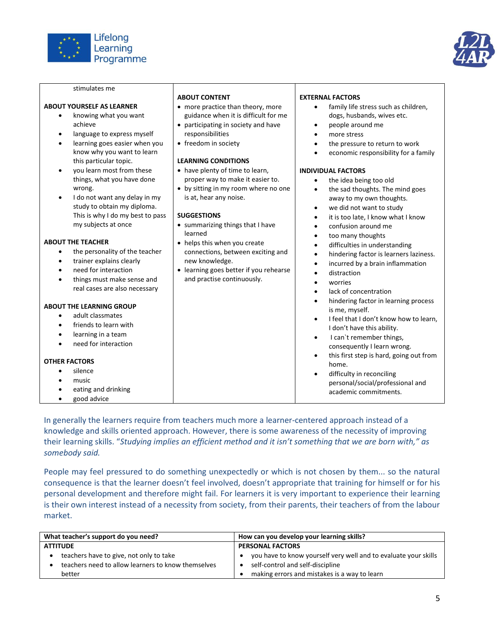

stimulates me



|                                                                                                                                                                                                                                                                                                                                                                                                          | <b>ABOUT CONTENT</b>                                                                                                                                                                                                                                                                                                                                      | <b>EXTERNAL FACTORS</b>                                                                                                                                                                                                                                                                                                                                                                                                                                                                                                                      |
|----------------------------------------------------------------------------------------------------------------------------------------------------------------------------------------------------------------------------------------------------------------------------------------------------------------------------------------------------------------------------------------------------------|-----------------------------------------------------------------------------------------------------------------------------------------------------------------------------------------------------------------------------------------------------------------------------------------------------------------------------------------------------------|----------------------------------------------------------------------------------------------------------------------------------------------------------------------------------------------------------------------------------------------------------------------------------------------------------------------------------------------------------------------------------------------------------------------------------------------------------------------------------------------------------------------------------------------|
| <b>ABOUT YOURSELF AS LEARNER</b><br>knowing what you want<br>$\bullet$<br>achieve<br>language to express myself<br>learning goes easier when you<br>٠<br>know why you want to learn<br>this particular topic.<br>you learn most from these<br>٠<br>things, what you have done<br>wrong.<br>I do not want any delay in my<br>$\bullet$<br>study to obtain my diploma.<br>This is why I do my best to pass | • more practice than theory, more<br>guidance when it is difficult for me<br>• participating in society and have<br>responsibilities<br>• freedom in society<br><b>LEARNING CONDITIONS</b><br>• have plenty of time to learn,<br>proper way to make it easier to.<br>• by sitting in my room where no one<br>is at, hear any noise.<br><b>SUGGESTIONS</b> | family life stress such as children,<br>dogs, husbands, wives etc.<br>people around me<br>more stress<br>the pressure to return to work<br>economic responsibility for a family<br><b>INDIVIDUAL FACTORS</b><br>the idea being too old<br>the sad thoughts. The mind goes<br>away to my own thoughts.<br>we did not want to study<br>$\bullet$<br>it is too late, I know what I know                                                                                                                                                         |
| my subjects at once                                                                                                                                                                                                                                                                                                                                                                                      | • summarizing things that I have                                                                                                                                                                                                                                                                                                                          | confusion around me                                                                                                                                                                                                                                                                                                                                                                                                                                                                                                                          |
| <b>ABOUT THE TEACHER</b><br>the personality of the teacher<br>trainer explains clearly<br>need for interaction<br>things must make sense and<br>real cases are also necessary<br><b>ABOUT THE LEARNING GROUP</b><br>adult classmates<br>$\bullet$<br>friends to learn with<br>learning in a team<br>need for interaction<br><b>OTHER FACTORS</b><br>silence<br>music                                     | learned<br>• helps this when you create<br>connections, between exciting and<br>new knowledge.<br>• learning goes better if you rehearse<br>and practise continuously.                                                                                                                                                                                    | too many thoughts<br>$\bullet$<br>difficulties in understanding<br>hindering factor is learners laziness.<br>incurred by a brain inflammation<br>distraction<br>worries<br>lack of concentration<br>hindering factor in learning process<br>is me, myself.<br>I feel that I don't know how to learn,<br>I don't have this ability.<br>I can't remember things,<br>$\bullet$<br>consequently I learn wrong.<br>this first step is hard, going out from<br>$\bullet$<br>home.<br>difficulty in reconciling<br>personal/social/professional and |
| eating and drinking<br>good advice                                                                                                                                                                                                                                                                                                                                                                       |                                                                                                                                                                                                                                                                                                                                                           | academic commitments.                                                                                                                                                                                                                                                                                                                                                                                                                                                                                                                        |

In generally the learners require from teachers much more a learner-centered approach instead of a knowledge and skills oriented approach. However, there is some awareness of the necessity of improving their learning skills. "*Studying implies an efficient method and it isn't something that we are born with," as somebody said.*

People may feel pressured to do something unexpectedly or which is not chosen by them... so the natural consequence is that the learner doesn't feel involved, doesn't appropriate that training for himself or for his personal development and therefore might fail. For learners it is very important to experience their learning is their own interest instead of a necessity from society, from their parents, their teachers of from the labour market.

| What teacher's support do you need?                | How can you develop your learning skills?                       |  |
|----------------------------------------------------|-----------------------------------------------------------------|--|
| <b>ATTITUDE</b>                                    | <b>PERSONAL FACTORS</b>                                         |  |
| teachers have to give, not only to take            | you have to know yourself very well and to evaluate your skills |  |
| teachers need to allow learners to know themselves | self-control and self-discipline                                |  |
| better                                             | making errors and mistakes is a way to learn                    |  |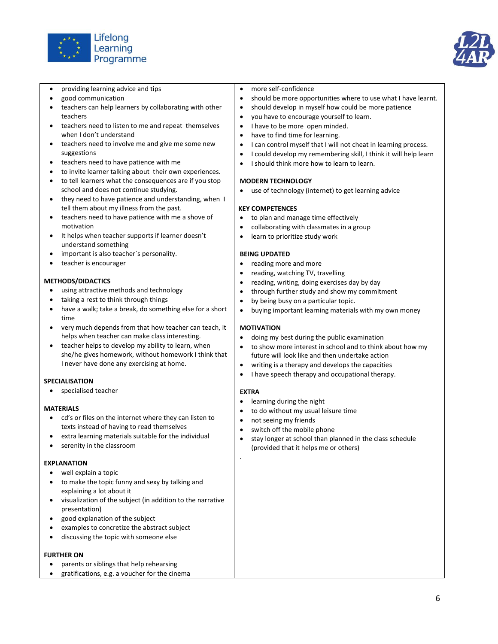



- providing learning advice and tips
- good communication
- teachers can help learners by collaborating with other teachers
- teachers need to listen to me and repeat themselves when I don't understand
- teachers need to involve me and give me some new suggestions
- teachers need to have patience with me
- to invite learner talking about their own experiences.
- to tell learners what the consequences are if you stop school and does not continue studying.
- they need to have patience and understanding, when I tell them about my illness from the past.
- teachers need to have patience with me a shove of motivation
- It helps when teacher supports if learner doesn't understand something
- important is also teacher`s personality.
- teacher is encourager

#### **METHODS/DIDACTICS**

- using attractive methods and technology
- taking a rest to think through things
- have a walk; take a break, do something else for a short time
- very much depends from that how teacher can teach, it helps when teacher can make class interesting.
- teacher helps to develop my ability to learn, when she/he gives homework, without homework I think that I never have done any exercising at home.

### **SPECIALISATION**

specialised teacher

### **MATERIALS**

- cd's or files on the internet where they can listen to texts instead of having to read themselves
- extra learning materials suitable for the individual
- serenity in the classroom

### **EXPLANATION**

- well explain a topic
- to make the topic funny and sexy by talking and explaining a lot about it
- visualization of the subject (in addition to the narrative presentation)
- good explanation of the subject
- examples to concretize the abstract subject
- discussing the topic with someone else

### **FURTHER ON**

- parents or siblings that help rehearsing
- gratifications, e.g. a voucher for the cinema
- more self-confidence
- should be more opportunities where to use what I have learnt.
- should develop in myself how could be more patience
- you have to encourage yourself to learn.
- I have to be more open minded.
- have to find time for learning.
- I can control myself that I will not cheat in learning process.
- I could develop my remembering skill, I think it will help learn
- I should think more how to learn to learn.

#### **MODERN TECHNOLOGY**

use of technology (internet) to get learning advice

#### **KEY COMPETENCES**

- to plan and manage time effectively
- collaborating with classmates in a group
- learn to prioritize study work

#### **BEING UPDATED**

- reading more and more
- reading, watching TV, travelling
- reading, writing, doing exercises day by day
- through further study and show my commitment
- by being busy on a particular topic.
- buying important learning materials with my own money

### **MOTIVATION**

- doing my best during the public examination
- to show more interest in school and to think about how my future will look like and then undertake action
- writing is a therapy and develops the capacities
- I have speech therapy and occupational therapy.

### **EXTRA**

.

- learning during the night
- to do without my usual leisure time
- not seeing my friends
- switch off the mobile phone
- stay longer at school than planned in the class schedule (provided that it helps me or others)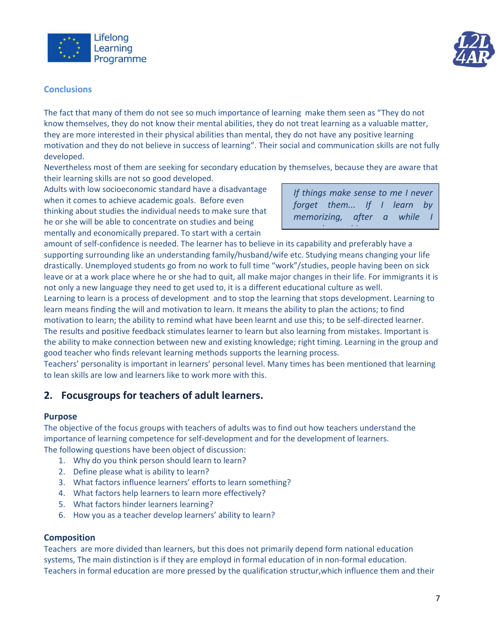



### **Conclusions**

The fact that many of them do not see so much importance of learning make them seen as "They do not know themselves, they do not know their mental abilities, they do not treat learning as a valuable matter, they are more interested in their physical abilities than mental, they do not have any positive learning motivation and they do not believe in success of learning". Their social and communication skills are not fully developed.

Nevertheless most of them are seeking for secondary education by themselves, because they are aware that their learning skills are not so good developed.

Adults with low socioeconomic standard have a disadvantage when it comes to achieve academic goals. Before even thinking about studies the individual needs to make sure that he or she will be able to concentrate on studies and being mentally and economically prepared. To start with a certain

*If things make sense to me I never forget them... If I learn by memorizing, after a while remember nothing...*

amount of self-confidence is needed. The learner has to believe in its capability and preferably have a supporting surrounding like an understanding family/husband/wife etc. Studying means changing your life drastically. Unemployed students go from no work to full time "work"/studies, people having been on sick leave or at a work place where he or she had to quit, all make major changes in their life. For immigrants it is not only a new language they need to get used to, it is a different educational culture as well.

Learning to learn is a process of development and to stop the learning that stops development. Learning to learn means finding the will and motivation to learn. It means the ability to plan the actions; to find motivation to learn; the ability to remind what have been learnt and use this; to be self-directed learner. The results and positive feedback stimulates learner to learn but also learning from mistakes. Important is the ability to make connection between new and existing knowledge; right timing. Learning in the group and good teacher who finds relevant learning methods supports the learning process.

Teachers' personality is important in learners' personal level. Many times has been mentioned that learning to lean skills are low and learners like to work more with this.

### **2. Focusgroups for teachers of adult learners.**

### **Purpose**

The objective of the focus groups with teachers of adults was to find out how teachers understand the importance of learning competence for self-development and for the development of learners. The following questions have been object of discussion:

- 1. Why do you think person should learn to learn?
- 2. Define please what is ability to learn?
- 3. What factors influence learners' efforts to learn something?
- 4. What factors help learners to learn more effectively?
- 5. What factors hinder learners learning?
- 6. How you as a teacher develop learners' ability to learn?

### **Composition**

Teachers are more divided than learners, but this does not primarily depend form national education systems, The main distinction is if they are employd in formal education of in non-formal education. Teachers in formal education are more pressed by the qualification structur,which influence them and their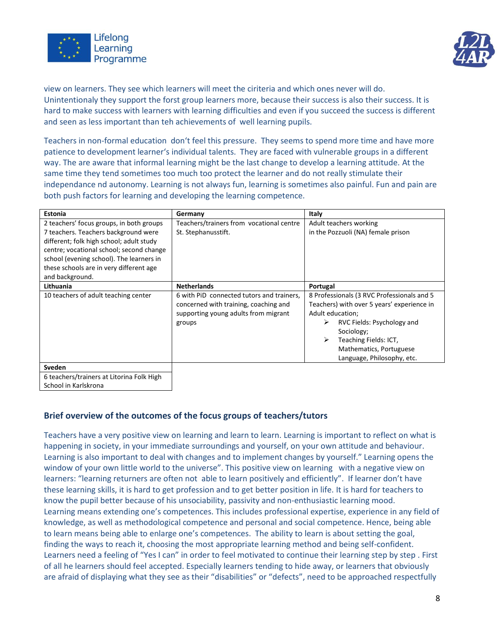



view on learners. They see which learners will meet the ciriteria and which ones never will do. Unintentionaly they support the forst group learners more, because their success is also their success. It is hard to make success with learners with learning difficulties and even if you succeed the success is different and seen as less important than teh achievements of well learning pupils.

Teachers in non-formal education don't feel this pressure. They seems to spend more time and have more patience to development learner's individual talents. They are faced with vulnerable groups in a different way. The are aware that informal learning might be the last change to develop a learning attitude. At the same time they tend sometimes too much too protect the learner and do not really stimulate their independance nd autonomy. Learning is not always fun, learning is sometimes also painful. Fun and pain are both push factors for learning and developing the learning competence.

| Estonia                                                                                                                                                                                                                                                                            | Germany                                                                                                                              | Italy                                                                                                                                                                                                                                                |
|------------------------------------------------------------------------------------------------------------------------------------------------------------------------------------------------------------------------------------------------------------------------------------|--------------------------------------------------------------------------------------------------------------------------------------|------------------------------------------------------------------------------------------------------------------------------------------------------------------------------------------------------------------------------------------------------|
| 2 teachers' focus groups, in both groups<br>7 teachers. Teachers background were<br>different; folk high school; adult study<br>centre; vocational school; second change<br>school (evening school). The learners in<br>these schools are in very different age<br>and background. | Teachers/trainers from vocational centre<br>St. Stephanusstift.                                                                      | Adult teachers working<br>in the Pozzuoli (NA) female prison                                                                                                                                                                                         |
| Lithuania                                                                                                                                                                                                                                                                          | <b>Netherlands</b>                                                                                                                   | Portugal                                                                                                                                                                                                                                             |
| 10 teachers of adult teaching center                                                                                                                                                                                                                                               | 6 with PiD connected tutors and trainers,<br>concerned with training, coaching and<br>supporting young adults from migrant<br>groups | 8 Professionals (3 RVC Professionals and 5<br>Teachers) with over 5 years' experience in<br>Adult education:<br>RVC Fields: Psychology and<br>➤<br>Sociology;<br>Teaching Fields: ICT,<br>➤<br>Mathematics, Portuguese<br>Language, Philosophy, etc. |
| <b>Sveden</b>                                                                                                                                                                                                                                                                      |                                                                                                                                      |                                                                                                                                                                                                                                                      |

6 teachers/trainers at Litorina Folk High

School in Karlskrona

### **Brief overview of the outcomes of the focus groups of teachers/tutors**

Teachers have a very positive view on learning and learn to learn. Learning is important to reflect on what is happening in society, in your immediate surroundings and yourself, on your own attitude and behaviour. Learning is also important to deal with changes and to implement changes by yourself." Learning opens the window of your own little world to the universe". This positive view on learning with a negative view on learners: "learning returners are often not able to learn positively and efficiently". If learner don't have these learning skills, it is hard to get profession and to get better position in life. It is hard for teachers to know the pupil better because of his unsociability, passivity and non-enthusiastic learning mood. Learning means extending one's competences. This includes professional expertise, experience in any field of knowledge, as well as methodological competence and personal and social competence. Hence, being able to learn means being able to enlarge one's competences. The ability to learn is about setting the goal, finding the ways to reach it, choosing the most appropriate learning method and being self-confident. Learners need a feeling of "Yes I can" in order to feel motivated to continue their learning step by step . First of all he learners should feel accepted. Especially learners tending to hide away, or learners that obviously are afraid of displaying what they see as their "disabilities" or "defects", need to be approached respectfully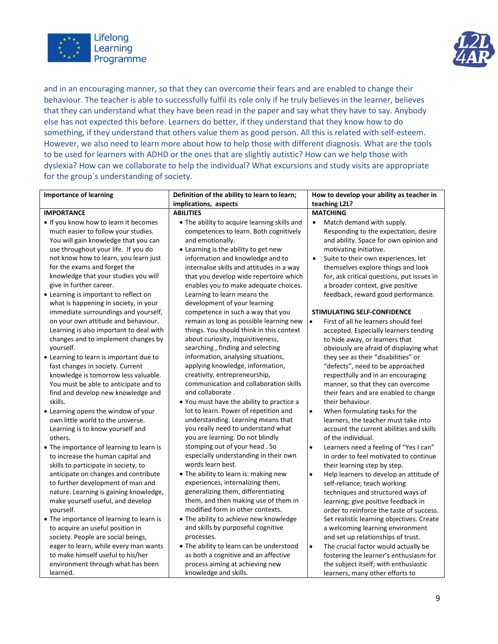



and in an encouraging manner, so that they can overcome their fears and are enabled to change their behaviour. The teacher is able to successfully fulfil its role only if he truly believes in the learner, believes that they can understand what they have been read in the paper and say what they have to say. Anybody else has not expected this before. Learners do better, if they understand that they know how to do something, if they understand that others value them as good person. All this is related with self-esteem. However, we also need to learn more about how to help those with different diagnosis. What are the tools to be used for learners with ADHD or the ones that are slightly autistic? How can we help those with dyslexia? How can we collaborate to help the individual? What excursions and study visits are appropriate for the group´s understanding of society.

| <b>Importance of learning</b>                                                | Definition of the ability to learn to learn;                           | How to develop your ability as teacher in                                                     |  |
|------------------------------------------------------------------------------|------------------------------------------------------------------------|-----------------------------------------------------------------------------------------------|--|
|                                                                              | implications, aspects                                                  | teaching L2L?                                                                                 |  |
| <b>IMPORTANCE</b>                                                            | <b>ABILITIES</b>                                                       | <b>MATCHING</b>                                                                               |  |
| . If you know how to learn it becomes                                        | . The ability to acquire learning skills and                           | Match demand with supply.<br>$\bullet$                                                        |  |
| much easier to follow your studies.                                          | competences to learn. Both cognitively                                 | Responding to the expectation, desire                                                         |  |
| You will gain knowledge that you can                                         | and emotionally.                                                       | and ability. Space for own opinion and                                                        |  |
| use throughout your life. If you do                                          | • Learning is the ability to get new                                   | motivating initiative.                                                                        |  |
| not know how to learn, you learn just                                        | information and knowledge and to                                       | Suite to their own experiences, let<br>$\bullet$                                              |  |
| for the exams and forget the                                                 | internalise skills and attitudes in a way                              | themselves explore things and look                                                            |  |
| knowledge that your studies you will                                         | that you develop wide repertoire which                                 | for, ask critical questions, put issues in                                                    |  |
| give in further career.                                                      | enables you to make adequate choices.                                  | a broader context, give positive                                                              |  |
| • Learning is important to reflect on                                        | Learning to learn means the                                            | feedback, reward good performance.                                                            |  |
| what is happening in society, in your                                        | development of your learning                                           |                                                                                               |  |
| immediate surroundings and yourself,                                         | competence in such a way that you                                      | <b>STIMULATING SELF-CONFIDENCE</b>                                                            |  |
| on your own attitude and behaviour.                                          | remain as long as possible learning new                                | $\bullet$<br>First of all he learners should feel                                             |  |
| Learning is also important to deal with                                      | things. You should think in this context                               | accepted. Especially learners tending                                                         |  |
| changes and to implement changes by                                          | about curiosity, inquisitiveness,                                      | to hide away, or learners that                                                                |  |
| yourself.                                                                    | searching, finding and selecting                                       | obviously are afraid of displaying what                                                       |  |
| • Learning to learn is important due to                                      | information, analysing situations,                                     | they see as their "disabilities" or                                                           |  |
| fast changes in society. Current                                             | applying knowledge, information,                                       | "defects", need to be approached                                                              |  |
| knowledge is tomorrow less valuable.                                         | creativity, entrepreneurship,                                          | respectfully and in an encouraging                                                            |  |
| You must be able to anticipate and to                                        | communication and collaboration skills                                 | manner, so that they can overcome                                                             |  |
| find and develop new knowledge and                                           | and collaborate.                                                       | their fears and are enabled to change                                                         |  |
| skills.                                                                      | . You must have the ability to practice a                              | their behaviour.                                                                              |  |
| • Learning opens the window of your                                          | lot to learn. Power of repetition and                                  | $\bullet$<br>When formulating tasks for the                                                   |  |
| own little world to the universe.                                            | understanding. Learning means that                                     | learners, the teacher must take into                                                          |  |
| Learning is to know yourself and                                             | you really need to understand what<br>you are learning. Do not blindly | account the current abilities and skills<br>of the individual.                                |  |
| others.                                                                      | stomping out of your head. So                                          |                                                                                               |  |
| • The importance of learning to learn is                                     | especially understanding in their own                                  | $\bullet$<br>Learners need a feeling of "Yes I can"<br>in order to feel motivated to continue |  |
| to increase the human capital and                                            | words learn best.                                                      |                                                                                               |  |
| skills to participate in society, to<br>anticipate on changes and contribute | . The ability to learn is: making new                                  | their learning step by step.<br>$\bullet$                                                     |  |
| to further development of man and                                            | experiences, internalizing them,                                       | Help learners to develop an attitude of<br>self-reliance; teach working                       |  |
| nature. Learning is gaining knowledge,                                       | generalizing them, differentiating                                     | techniques and structured ways of                                                             |  |
| make yourself useful, and develop                                            | them, and then making use of them in                                   | learning; give positive feedback in                                                           |  |
| yourself.                                                                    | modified form in other contexts.                                       | order to reinforce the taste of success.                                                      |  |
| • The importance of learning to learn is                                     | • The ability to achieve new knowledge                                 | Set realistic learning objectives. Create                                                     |  |
| to acquire an useful position in                                             | and skills by purposeful cognitive                                     | a welcoming learning environment                                                              |  |
| society. People are social beings,                                           | processes.                                                             | and set up relationships of trust.                                                            |  |
| eager to learn, while every man wants                                        | . The ability to learn can be understood                               | The crucial factor would actually be<br>$\bullet$                                             |  |
| to make himself useful to his/her                                            | as both a cognitive and an affective                                   | fostering the learner's enthusiasm for                                                        |  |
| environment through what has been                                            | process aiming at achieving new                                        | the subject itself; with enthusiastic                                                         |  |
| learned.                                                                     | knowledge and skills.                                                  | learners, many other efforts to                                                               |  |
|                                                                              |                                                                        |                                                                                               |  |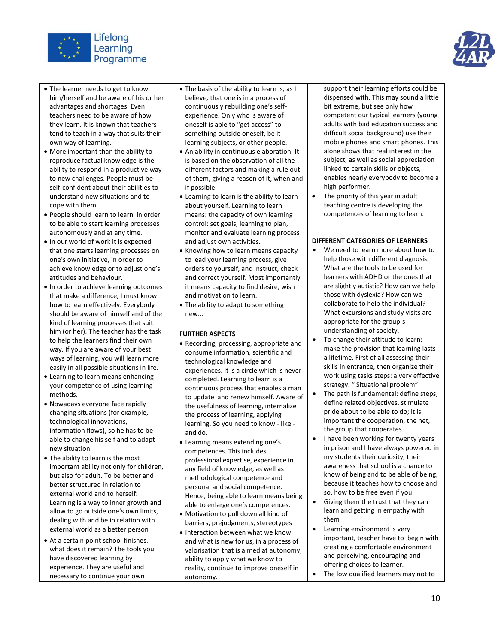



- The learner needs to get to know him/herself and be aware of his or her advantages and shortages. Even teachers need to be aware of how they learn. It is known that teachers tend to teach in a way that suits their own way of learning.
- More important than the ability to reproduce factual knowledge is the ability to respond in a productive way to new challenges. People must be self-confident about their abilities to understand new situations and to cope with them.
- People should learn to learn in order to be able to start learning processes autonomously and at any time.
- In our world of work it is expected that one starts learning processes on one's own initiative, in order to achieve knowledge or to adjust one's attitudes and behaviour.
- In order to achieve learning outcomes that make a difference, I must know how to learn effectively. Everybody should be aware of himself and of the kind of learning processes that suit him (or her). The teacher has the task to help the learners find their own way. If you are aware of your best ways of learning, you will learn more easily in all possible situations in life.
- Learning to learn means enhancing your competence of using learning methods.
- Nowadays everyone face rapidly changing situations (for example, technological innovations, information flows), so he has to be able to change his self and to adapt new situation.
- The ability to learn is the most important ability not only for children, but also for adult. To be better and better structured in relation to external world and to herself: Learning is a way to inner growth and allow to go outside one's own limits, dealing with and be in relation with external world as a better person
- At a certain point school finishes. what does it remain? The tools you have discovered learning by experience. They are useful and necessary to continue your own
- The basis of the ability to learn is, as I believe, that one is in a process of continuously rebuilding one's selfexperience. Only who is aware of oneself is able to "get access" to something outside oneself, be it learning subjects, or other people.
- An ability in continuous elaboration. It is based on the observation of all the different factors and making a rule out of them, giving a reason of it, when and if possible.
- Learning to learn is the ability to learn about yourself. Learning to learn means: the capacity of own learning control: set goals, learning to plan, monitor and evaluate learning process and adjust own activities.
- Knowing how to learn means capacity to lead your learning process, give orders to yourself, and instruct, check and correct yourself. Most importantly it means capacity to find desire, wish and motivation to learn.
- The ability to adapt to something new...

### **FURTHER ASPECTS**

- Recording, processing, appropriate and consume information, scientific and technological knowledge and experiences. It is a circle which is never completed. Learning to learn is a continuous process that enables a man to update and renew himself. Aware of the usefulness of learning, internalize the process of learning, applying learning. So you need to know - like and do.
- Learning means extending one's competences. This includes professional expertise, experience in any field of knowledge, as well as methodological competence and personal and social competence. Hence, being able to learn means being able to enlarge one's competences.
- Motivation to pull down all kind of barriers, prejudgments, stereotypes
- Interaction between what we know and what is new for us, in a process of valorisation that is aimed at autonomy, ability to apply what we know to reality, continue to improve oneself in autonomy.

support their learning efforts could be dispensed with. This may sound a little bit extreme, but see only how competent our typical learners (young adults with bad education success and difficult social background) use their mobile phones and smart phones. This alone shows that real interest in the subject, as well as social appreciation linked to certain skills or objects, enables nearly everybody to become a high performer.

 The priority of this year in adult teaching centre is developing the competences of learning to learn.

### **DIFFERENT CATEGORIES OF LEARNERS**

- We need to learn more about how to help those with different diagnosis. What are the tools to be used for learners with ADHD or the ones that are slightly autistic? How can we help those with dyslexia? How can we collaborate to help the individual? What excursions and study visits are appropriate for the group´s understanding of society.
- To change their attitude to learn: make the provision that learning lasts a lifetime. First of all assessing their skills in entrance, then organize their work using tasks steps: a very effective strategy. " Situational problem"
- The path is fundamental: define steps, define related objectives, stimulate pride about to be able to do; it is important the cooperation, the net, the group that cooperates.
- I have been working for twenty years in prison and I have always powered in my students their curiosity, their awareness that school is a chance to know of being and to be able of being, because it teaches how to choose and so, how to be free even if you.
- Giving them the trust that they can learn and getting in empathy with them
- Learning environment is very important, teacher have to begin with creating a comfortable environment and perceiving, encouraging and offering choices to learner.
- The low qualified learners may not to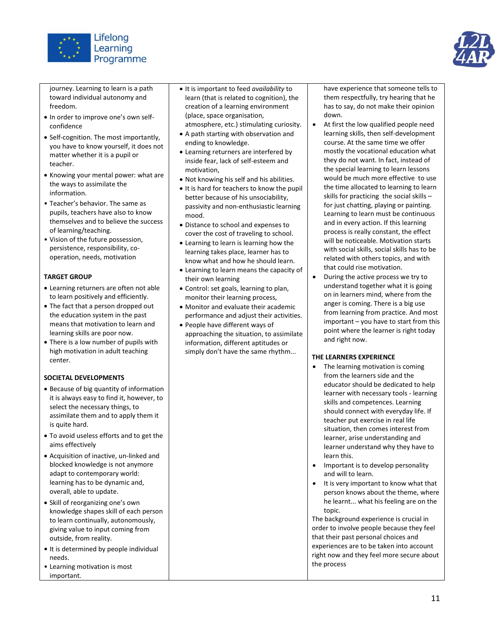



journey. Learning to learn is a path toward individual autonomy and freedom.

- In order to improve one's own selfconfidence
- Self-cognition. The most importantly, you have to know yourself, it does not matter whether it is a pupil or teacher.
- Knowing your mental power: what are the ways to assimilate the information.
- Teacher's behavior. The same as pupils, teachers have also to know themselves and to believe the success of learning/teaching.
- Vision of the future possession, persistence, responsibility, cooperation, needs, motivation

### **TARGET GROUP**

- Learning returners are often not able to learn positively and efficiently.
- The fact that a person dropped out the education system in the past means that motivation to learn and learning skills are poor now.
- There is a low number of pupils with high motivation in adult teaching center.

### **SOCIETAL DEVELOPMENTS**

- Because of big quantity of information it is always easy to find it, however, to select the necessary things, to assimilate them and to apply them it is quite hard.
- To avoid useless efforts and to get the aims effectively
- Acquisition of inactive, un-linked and blocked knowledge is not anymore adapt to contemporary world: learning has to be dynamic and, overall, able to update.
- Skill of reorganizing one's own knowledge shapes skill of each person to learn continually, autonomously, giving value to input coming from outside, from reality.
- **•** It is determined by people individual needs.
- Learning motivation is most important.
- It is important to feed *availability* to learn (that is related to cognition), the creation of a learning environment (place, space organisation, atmosphere, etc.) stimulating curiosity.
- A path starting with observation and ending to knowledge.
- Learning returners are interfered by inside fear, lack of self-esteem and motivation,
- Not knowing his self and his abilities.
- It is hard for teachers to know the pupil better because of his unsociability, passivity and non-enthusiastic learning mood.
- Distance to school and expenses to cover the cost of traveling to school.
- Learning to learn is learning how the learning takes place, learner has to know what and how he should learn.
- Learning to learn means the capacity of their own learning
- Control: set goals, learning to plan, monitor their learning process,
- Monitor and evaluate their academic performance and adjust their activities.
- People have different ways of approaching the situation, to assimilate information, different aptitudes or simply don't have the same rhythm...

have experience that someone tells to them respectfully, try hearing that he has to say, do not make their opinion down.

- At first the low qualified people need learning skills, then self-development course. At the same time we offer mostly the vocational education what they do not want. In fact, instead of the special learning to learn lessons would be much more effective to use the time allocated to learning to learn skills for practicing the social skills – for just chatting, playing or painting. Learning to learn must be continuous and in every action. If this learning process is really constant, the effect will be noticeable. Motivation starts with social skills, social skills has to be related with others topics, and with that could rise motivation.
- During the active process we try to understand together what it is going on in learners mind, where from the anger is coming. There is a big use from learning from practice. And most important – you have to start from this point where the learner is right today and right now.

### **THE LEARNERS EXPERIENCE**

- The learning motivation is coming from the learners side and the educator should be dedicated to help learner with necessary tools - learning skills and competences. Learning should connect with everyday life. If teacher put exercise in real life situation, then comes interest from learner, arise understanding and learner understand why they have to learn this.
- Important is to develop personality and will to learn.
- It is very important to know what that person knows about the theme, where he learnt... what his feeling are on the topic.

The background experience is crucial in order to involve people because they feel that their past personal choices and experiences are to be taken into account right now and they feel more secure about the process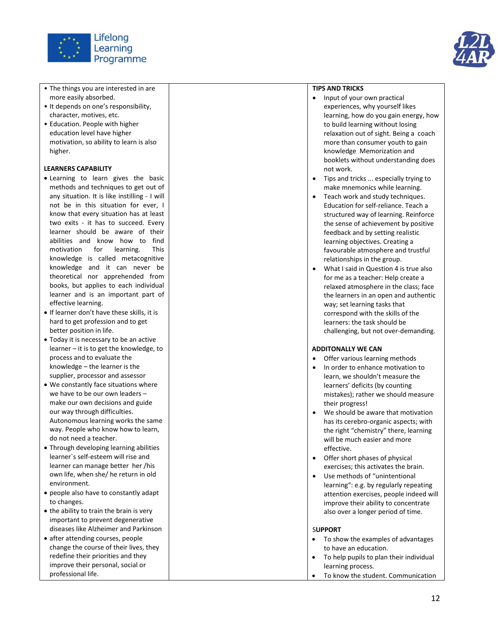

- The things you are interested in are more easily absorbed.
- It depends on one's responsibility, character, motives, etc.
- Education. People with higher education level have higher motivation, so ability to learn is also higher.

### **LEARNERS CAPABILITY**

- Learning to learn gives the basic methods and techniques to get out of any situation. It is like instilling - I will not be in this situation for ever, I know that every situation has at least two exits - it has to succeed. Every learner should be aware of their abilities and know how to find motivation for learning. This knowledge is called metacognitive knowledge and it can never be theoretical nor apprehended from books, but applies to each individual learner and is an important part of effective learning.
- If learner don't have these skills, it is hard to get profession and to get better position in life.
- Today it is necessary to be an active learner – it is to get the knowledge, to process and to evaluate the knowledge – the learner is the supplier, processor and assessor
- We constantly face situations where we have to be our own leaders – make our own decisions and guide our way through difficulties. Autonomous learning works the same way. People who know how to learn, do not need a teacher.
- Through developing learning abilities learner`s self -esteem will rise and learner can manage better her /his own life, when she/ he return in old environment.
- people also have to constantly adapt to changes.
- $\bullet$  the ability to train the brain is very important to prevent degenerative diseases like Alzheimer and Parkinson
- after attending courses, people change the course of their lives, they redefine their priorities and they improve their personal, social or professional life .



- Input of your own practical experiences, why yourself likes learning, how do you gain energy, how to build learning without losing relaxation out of sight. Being a coach more than consumer youth to gain knowledge Memorization and booklets without understanding does not work.
- Tips and tricks ... especially trying to make mnemonics while learning.
- Teach work and study techniques. Education for self -reliance. Teach a structured way of learning. Reinforce the sense of achievement by positive feedback and by setting realistic learning objectives. Creating a favourable atmosphere and trustful relationships in the group.
- What I said in Question 4 is true also for me as a teacher: Help create a relaxed atmosphere in the class; face the learners in an open and authentic way; set learning tasks that correspond with the skills of the learners: the task should be challenging, but not over -demanding.

### **ADDITONALLY WE CAN**

- Offer various learning methods
- In order to enhance motivation to learn, we shouldn't measure the learners' deficits (by counting mistakes); rather we should measure their progress!
- We should be aware that motivation has its cerebro -organic aspects; with the right "chemistry" there, learning will be much easier and more effective.
- Offer short phases of physical exercises; this activates the brain.
- Use methods of "unintentional learning": e.g. by regularly repeating attention exercises, people indeed will improve their ability to concentrate also over a longer period of time.

### S**UPPORT**

- To show the examples of advantages to have an education. To help pupils to plan their individual
- learning process.
- To know the student. Communication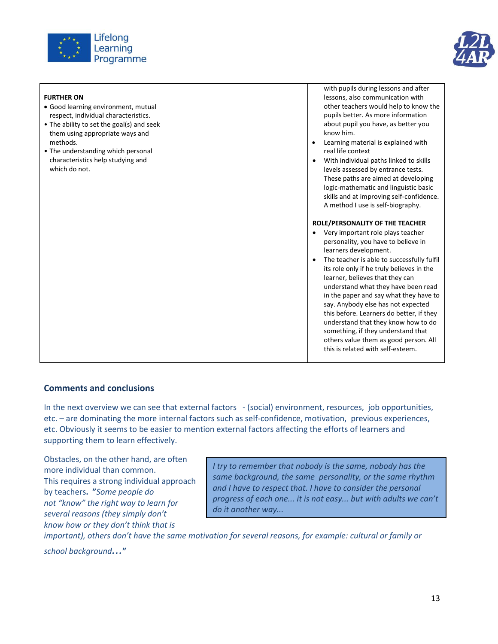



| <b>FURTHER ON</b><br>• Good learning environment, mutual<br>respect, individual characteristics.<br>• The ability to set the goal(s) and seek<br>them using appropriate ways and<br>methods.<br>• The understanding which personal<br>characteristics help studying and<br>which do not. | with pupils during lessons and after<br>lessons, also communication with<br>other teachers would help to know the<br>pupils better. As more information<br>about pupil you have, as better you<br>know him.<br>Learning material is explained with<br>$\bullet$<br>real life context<br>With individual paths linked to skills<br>$\bullet$<br>levels assessed by entrance tests.<br>These paths are aimed at developing<br>logic-mathematic and linguistic basic<br>skills and at improving self-confidence.                                                                                                                                      |
|------------------------------------------------------------------------------------------------------------------------------------------------------------------------------------------------------------------------------------------------------------------------------------------|----------------------------------------------------------------------------------------------------------------------------------------------------------------------------------------------------------------------------------------------------------------------------------------------------------------------------------------------------------------------------------------------------------------------------------------------------------------------------------------------------------------------------------------------------------------------------------------------------------------------------------------------------|
|                                                                                                                                                                                                                                                                                          | A method I use is self-biography.<br>ROLE/PERSONALITY OF THE TEACHER<br>Very important role plays teacher<br>personality, you have to believe in<br>learners development.<br>The teacher is able to successfully fulfil<br>$\bullet$<br>its role only if he truly believes in the<br>learner, believes that they can<br>understand what they have been read<br>in the paper and say what they have to<br>say. Anybody else has not expected<br>this before. Learners do better, if they<br>understand that they know how to do<br>something, if they understand that<br>others value them as good person. All<br>this is related with self-esteem. |

### **Comments and conclusions**

In the next overview we can see that external factors - (social) environment, resources, job opportunities, etc. – are dominating the more internal factors such as self-confidence, motivation, previous experiences, etc. Obviously it seems to be easier to mention external factors affecting the efforts of learners and supporting them to learn effectively.

Obstacles, on the other hand, are often more individual than common. This requires a strong individual approach by teachers**. "***Some people do not "know" the right way to learn for several reasons (they simply don't know how or they don't think that is* 

*I try to remember that nobody is the same, nobody has the same background, the same personality, or the same rhythm and I have to respect that. I have to consider the personal progress of each one... it is not easy... but with adults we can't do it another way...*

*important), others don't have the same motivation for several reasons, for example: cultural or family or* 

*school background...***"**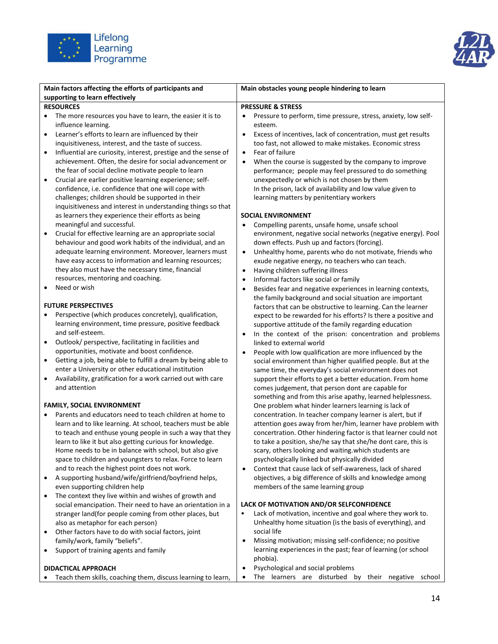



| Main factors affecting the efforts of participants and                                                     | Main obstacles young people hindering to learn                                                                       |  |
|------------------------------------------------------------------------------------------------------------|----------------------------------------------------------------------------------------------------------------------|--|
| supporting to learn effectively<br><b>RESOURCES</b>                                                        |                                                                                                                      |  |
| The more resources you have to learn, the easier it is to                                                  | <b>PRESSURE &amp; STRESS</b><br>Pressure to perform, time pressure, stress, anxiety, low self-                       |  |
| influence learning.                                                                                        | esteem.                                                                                                              |  |
| Learner's efforts to learn are influenced by their<br>$\bullet$                                            | Excess of incentives, lack of concentration, must get results<br>$\bullet$                                           |  |
| inquisitiveness, interest, and the taste of success.                                                       | too fast, not allowed to make mistakes. Economic stress                                                              |  |
| Influential are curiosity, interest, prestige and the sense of<br>$\bullet$                                | Fear of failure<br>$\bullet$                                                                                         |  |
| achievement. Often, the desire for social advancement or                                                   | When the course is suggested by the company to improve<br>$\bullet$                                                  |  |
| the fear of social decline motivate people to learn                                                        | performance; people may feel pressured to do something                                                               |  |
| Crucial are earlier positive learning experience; self-<br>$\bullet$                                       | unexpectedly or which is not chosen by them                                                                          |  |
| confidence, i.e. confidence that one will cope with                                                        | In the prison, lack of availability and low value given to                                                           |  |
| challenges; children should be supported in their                                                          | learning matters by penitentiary workers                                                                             |  |
| inquisitiveness and interest in understanding things so that                                               |                                                                                                                      |  |
| as learners they experience their efforts as being                                                         | <b>SOCIAL ENVIRONMENT</b>                                                                                            |  |
| meaningful and successful.                                                                                 | Compelling parents, unsafe home, unsafe school<br>٠                                                                  |  |
| Crucial for effective learning are an appropriate social                                                   | environment, negative social networks (negative energy). Pool                                                        |  |
| behaviour and good work habits of the individual, and an                                                   | down effects. Push up and factors (forcing).                                                                         |  |
| adequate learning environment. Moreover, learners must                                                     | Unhealthy home, parents who do not motivate, friends who<br>$\bullet$                                                |  |
| have easy access to information and learning resources;                                                    | exude negative energy, no teachers who can teach.                                                                    |  |
| they also must have the necessary time, financial                                                          | Having children suffering illness<br>$\bullet$                                                                       |  |
| resources, mentoring and coaching.                                                                         | Informal factors like social or family<br>$\bullet$                                                                  |  |
| Need or wish<br>٠                                                                                          | Besides fear and negative experiences in learning contexts,<br>٠                                                     |  |
|                                                                                                            | the family background and social situation are important                                                             |  |
| <b>FUTURE PERSPECTIVES</b>                                                                                 | factors that can be obstructive to learning. Can the learner                                                         |  |
| Perspective (which produces concretely), qualification,                                                    | expect to be rewarded for his efforts? Is there a positive and                                                       |  |
| learning environment, time pressure, positive feedback                                                     | supportive attitude of the family regarding education                                                                |  |
| and self-esteem.                                                                                           | In the context of the prison: concentration and problems<br>$\bullet$                                                |  |
| Outlook/ perspective, facilitating in facilities and<br>٠<br>opportunities, motivate and boost confidence. | linked to external world                                                                                             |  |
| Getting a job, being able to fulfill a dream by being able to                                              | People with low qualification are more influenced by the<br>$\bullet$                                                |  |
| enter a University or other educational institution                                                        | social environment than higher qualified people. But at the<br>same time, the everyday's social environment does not |  |
| Availability, gratification for a work carried out with care<br>$\bullet$                                  | support their efforts to get a better education. From home                                                           |  |
| and attention                                                                                              | comes judgement, that person dont are capable for                                                                    |  |
|                                                                                                            | something and from this arise apathy, learned helplessness.                                                          |  |
| <b>FAMILY, SOCIAL ENVIRONMENT</b>                                                                          | One problem what hinder learners learning is lack of                                                                 |  |
| Parents and educators need to teach children at home to                                                    | concentration. In teacher company learner is alert, but if                                                           |  |
| learn and to like learning. At school, teachers must be able                                               | attention goes away from her/him, learner have problem with                                                          |  |
| to teach and enthuse young people in such a way that they                                                  | concertration. Other hindering factor is that learner could not                                                      |  |
| learn to like it but also getting curious for knowledge.                                                   | to take a position, she/he say that she/he dont care, this is                                                        |  |
| Home needs to be in balance with school, but also give                                                     | scary, others looking and waiting. which students are                                                                |  |
| space to children and youngsters to relax. Force to learn                                                  | psychologically linked but physically divided                                                                        |  |
| and to reach the highest point does not work.                                                              | Context that cause lack of self-awareness, lack of shared<br>$\bullet$                                               |  |
| A supporting husband/wife/girlfriend/boyfriend helps,<br>٠                                                 | objectives, a big difference of skills and knowledge among                                                           |  |
| even supporting children help                                                                              | members of the same learning group                                                                                   |  |
| The context they live within and wishes of growth and                                                      |                                                                                                                      |  |
| social emancipation. Their need to have an orientation in a                                                | LACK OF MOTIVATION AND/OR SELFCONFIDENCE                                                                             |  |
| stranger land(for people coming from other places, but                                                     | Lack of motivation, incentive and goal where they work to.                                                           |  |
| also as metaphor for each person)                                                                          | Unhealthy home situation (is the basis of everything), and<br>social life                                            |  |
| Other factors have to do with social factors, joint                                                        | Missing motivation; missing self-confidence; no positive                                                             |  |
| family/work, family "beliefs".<br>Support of training agents and family                                    | learning experiences in the past; fear of learning (or school                                                        |  |
|                                                                                                            | phobia).                                                                                                             |  |
| <b>DIDACTICAL APPROACH</b>                                                                                 | Psychological and social problems<br>$\bullet$                                                                       |  |
| Teach them skills, coaching them, discuss learning to learn,                                               | The learners are disturbed by their negative school<br>$\bullet$                                                     |  |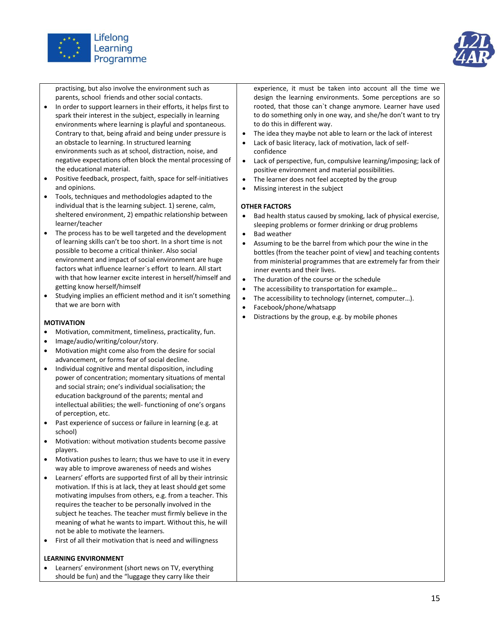



practising, but also involve the environment such as parents, school friends and other social contacts.

- In order to support learners in their efforts, it helps first to spark their interest in the subject, especially in learning environments where learning is playful and spontaneous. Contrary to that, being afraid and being under pressure is an obstacle to learning. In structured learning environments such as at school, distraction, noise, and negative expectations often block the mental processing of the educational material.
- Positive feedback, prospect, faith, space for self-initiatives and opinions.
- Tools, techniques and methodologies adapted to the individual that is the learning subject. 1) serene, calm, sheltered environment, 2) empathic relationship between learner/teacher
- The process has to be well targeted and the development of learning skills can't be too short. In a short time is not possible to become a critical thinker. Also social environment and impact of social environment are huge factors what influence learner`s effort to learn. All start with that how learner excite interest in herself/himself and getting know herself/himself
- Studying implies an efficient method and it isn't something that we are born with

### **MOTIVATION**

- Motivation, commitment, timeliness, practicality, fun.
- Image/audio/writing/colour/story.
- Motivation might come also from the desire for social advancement, or forms fear of social decline.
- Individual cognitive and mental disposition, including power of concentration; momentary situations of mental and social strain; one's individual socialisation; the education background of the parents; mental and intellectual abilities; the well- functioning of one's organs of perception, etc.
- Past experience of success or failure in learning (e.g. at school)
- Motivation: without motivation students become passive players.
- Motivation pushes to learn; thus we have to use it in every way able to improve awareness of needs and wishes
- Learners' efforts are supported first of all by their intrinsic motivation. If this is at lack, they at least should get some motivating impulses from others, e.g. from a teacher. This requires the teacher to be personally involved in the subject he teaches. The teacher must firmly believe in the meaning of what he wants to impart. Without this, he will not be able to motivate the learners.
- First of all their motivation that is need and willingness

### **LEARNING ENVIRONMENT**

 Learners' environment (short news on TV, everything should be fun) and the "luggage they carry like their

experience, it must be taken into account all the time we design the learning environments. Some perceptions are so rooted, that those can`t change anymore. Learner have used to do something only in one way, and she/he don't want to try to do this in different way.

- The idea they maybe not able to learn or the lack of interest
- Lack of basic literacy, lack of motivation, lack of selfconfidence
- Lack of perspective, fun, compulsive learning/imposing; lack of positive environment and material possibilities.
- The learner does not feel accepted by the group
- Missing interest in the subject

### **OTHER FACTORS**

- Bad health status caused by smoking, lack of physical exercise, sleeping problems or former drinking or drug problems
- Bad weather
- Assuming to be the barrel from which pour the wine in the bottles (from the teacher point of view] and teaching contents from ministerial programmes that are extremely far from their inner events and their lives.
- The duration of the course or the schedule
- The accessibility to transportation for example…
- The accessibility to technology (internet, computer…).
- Facebook/phone/whatsapp
- Distractions by the group, e.g. by mobile phones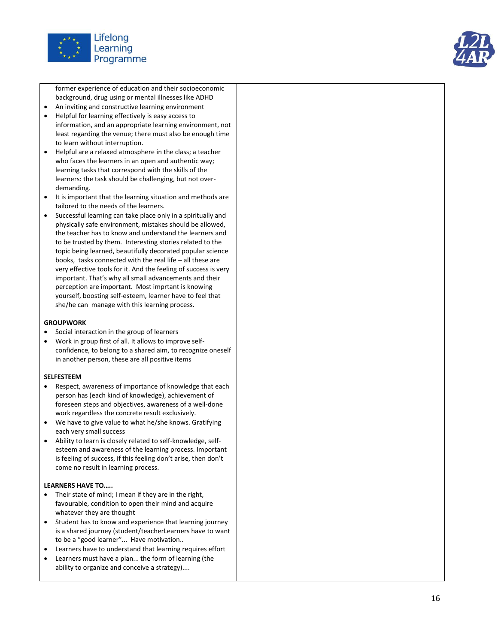

former experience of education and their socioeconomic background, drug using or mental illnesses like ADHD

- An inviting and constructive learning environment
- Helpful for learning effectively is easy access to information, and an appropriate learning environment, not least regarding the venue; there must also be enough time to learn without interruption.
- Helpful are a relaxed atmosphere in the class; a teacher who faces the learners in an open and authentic way; learning tasks that correspond with the skills of the learners: the task should be challenging, but not over demanding.
- It is important that the learning situation and methods are tailored to the needs of the learners.
- Successful learning can take place only in a spiritually and physically safe environment, mistakes should be allowed, the teacher has to know and understand the learners and to be trusted by them. Interesting stories related to the topic being learned, beautifully decorated popular science books, tasks connected with the real life – all these are very effective tools for it. And the feeling of success is very important. That's why all small advancements and their perception are important. Most imprtant is knowing yourself, boosting self -esteem, learner have to feel that she/he can manage with this learning process.

### **GROUPWORK**

- Social interaction in the group of learners
- Work in group first of all. It allows to improve self confidence, to belong to a shared aim, to recognize oneself in another person, these are all positive items

#### **SELFESTEEM**

- Respect, awareness of importance of knowledge that each person has (each kind of knowledge), achievement of foreseen steps and objectives, awareness of a well -done work regardless the concrete result exclusively.
- We have to give value to what he/she knows. Gratifying each very small success
- Ability to learn is closely related to self-knowledge, selfesteem and awareness of the learning process. Important is feeling of success, if this feeling don't arise, then don't come no result in learning process.

### **LEARNERS HAVE TO…..**

- Their state of mind; I mean if they are in the right, favourable, condition to open their mind and acquire whatever they are thought
- Student has to know and experience that learning journey is a shared journey (student/teacher Learners have to want to be a "good learner"... Have motivation..
- Learners have to understand that learning requires effort
- Learners must have a plan... the form of learning (the ability to organize and conceive a strategy)....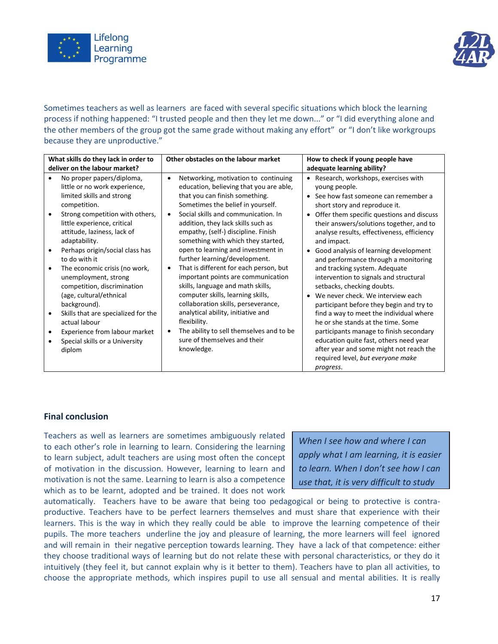



Sometimes teachers as well as learners are faced with several specific situations which block the learning process if nothing happened: "I trusted people and then they let me down..." or "I did everything alone and the other members of the group got the same grade without making any effort" or "I don't like workgroups because they are unproductive."

| What skills do they lack in order to                                                                                                                                                                                                                                                                                                                                                                                                                                                                                                                  | Other obstacles on the labour market                                                                                                                                                                                                                                                                                                                                                                                                                                                                                                                                                                                                                                                                                                                  | How to check if young people have                                                                                                                                                                                                                                                                                                                                                                                                                                                                                                                                                                                                                                                                                                                                                                                                               |
|-------------------------------------------------------------------------------------------------------------------------------------------------------------------------------------------------------------------------------------------------------------------------------------------------------------------------------------------------------------------------------------------------------------------------------------------------------------------------------------------------------------------------------------------------------|-------------------------------------------------------------------------------------------------------------------------------------------------------------------------------------------------------------------------------------------------------------------------------------------------------------------------------------------------------------------------------------------------------------------------------------------------------------------------------------------------------------------------------------------------------------------------------------------------------------------------------------------------------------------------------------------------------------------------------------------------------|-------------------------------------------------------------------------------------------------------------------------------------------------------------------------------------------------------------------------------------------------------------------------------------------------------------------------------------------------------------------------------------------------------------------------------------------------------------------------------------------------------------------------------------------------------------------------------------------------------------------------------------------------------------------------------------------------------------------------------------------------------------------------------------------------------------------------------------------------|
| deliver on the labour market?                                                                                                                                                                                                                                                                                                                                                                                                                                                                                                                         |                                                                                                                                                                                                                                                                                                                                                                                                                                                                                                                                                                                                                                                                                                                                                       | adequate learning ability?                                                                                                                                                                                                                                                                                                                                                                                                                                                                                                                                                                                                                                                                                                                                                                                                                      |
| No proper papers/diploma,<br>little or no work experience,<br>limited skills and strong<br>competition.<br>Strong competition with others,<br>little experience, critical<br>attitude, laziness, lack of<br>adaptability.<br>Perhaps origin/social class has<br>to do with it<br>The economic crisis (no work,<br>unemployment, strong<br>competition, discrimination<br>(age, cultural/ethnical<br>background).<br>Skills that are specialized for the<br>actual labour<br>Experience from labour market<br>Special skills or a University<br>diplom | Networking, motivation to continuing<br>$\bullet$<br>education, believing that you are able,<br>that you can finish something.<br>Sometimes the belief in yourself.<br>Social skills and communication. In<br>addition, they lack skills such as<br>empathy, (self-) discipline. Finish<br>something with which they started,<br>open to learning and investment in<br>further learning/development.<br>That is different for each person, but<br>important points are communication<br>skills, language and math skills,<br>computer skills, learning skills,<br>collaboration skills, perseverance,<br>analytical ability, initiative and<br>flexibility.<br>The ability to sell themselves and to be<br>sure of themselves and their<br>knowledge. | Research, workshops, exercises with<br>$\bullet$<br>young people.<br>See how fast someone can remember a<br>$\bullet$<br>short story and reproduce it.<br>Offer them specific questions and discuss<br>$\bullet$<br>their answers/solutions together, and to<br>analyse results, effectiveness, efficiency<br>and impact.<br>Good analysis of learning development<br>$\bullet$<br>and performance through a monitoring<br>and tracking system. Adequate<br>intervention to signals and structural<br>setbacks, checking doubts.<br>We never check. We interview each<br>$\bullet$<br>participant before they begin and try to<br>find a way to meet the individual where<br>he or she stands at the time. Some<br>participants manage to finish secondary<br>education quite fast, others need year<br>after year and some might not reach the |
|                                                                                                                                                                                                                                                                                                                                                                                                                                                                                                                                                       |                                                                                                                                                                                                                                                                                                                                                                                                                                                                                                                                                                                                                                                                                                                                                       | required level, but everyone make<br>progress.                                                                                                                                                                                                                                                                                                                                                                                                                                                                                                                                                                                                                                                                                                                                                                                                  |

### **Final conclusion**

Teachers as well as learners are sometimes ambiguously related to each other's role in learning to learn. Considering the learning to learn subject, adult teachers are using most often the concept of motivation in the discussion. However, learning to learn and motivation is not the same. Learning to learn is also a competence which as to be learnt, adopted and be trained. It does not work

*When I see how and where I can apply what I am learning, it is easier to learn. When I don't see how I can use that, it is very difficult to study* 

which as to be tearnt, adopted and be trained. It does not work<br>automatically. Teachers have to be aware that being too pedagogical or being to protective is contraproductive. Teachers have to be perfect learners themselves and must share that experience with their learners. This is the way in which they really could be able to improve the learning competence of their pupils. The more teachers underline the joy and pleasure of learning, the more learners will feel ignored and will remain in their negative perception towards learning. They have a lack of that competence: either they choose traditional ways of learning but do not relate these with personal characteristics, or they do it intuitively (they feel it, but cannot explain why is it better to them). Teachers have to plan all activities, to choose the appropriate methods, which inspires pupil to use all sensual and mental abilities. It is really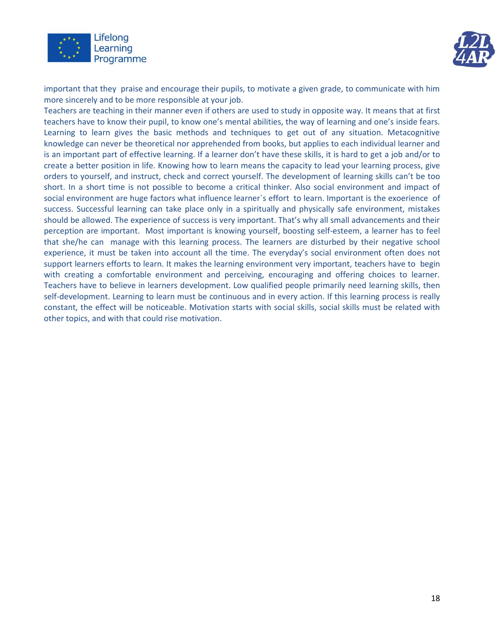



important that they praise and encourage their pupils, to motivate a given grade, to communicate with him more sincerely and to be more responsible at your job.

Teachers are teaching in their manner even if others are used to study in opposite way. It means that at first teachers have to know their pupil, to know one's mental abilities, the way of learning and one's inside fears. Learning to learn gives the basic methods and techniques to get out of any situation. Metacognitive knowledge can never be theoretical nor apprehended from books, but applies to each individual learner and is an important part of effective learning. If a learner don't have these skills, it is hard to get a job and/or to create a better position in life. Knowing how to learn means the capacity to lead your learning process, give orders to yourself, and instruct, check and correct yourself. The development of learning skills can't be too short. In a short time is not possible to become a critical thinker. Also social environment and impact of social environment are huge factors what influence learner`s effort to learn. Important is the exoerience of success. Successful learning can take place only in a spiritually and physically safe environment, mistakes should be allowed. The experience of success is very important. That's why all small advancements and their perception are important. Most important is knowing yourself, boosting self-esteem, a learner has to feel that she/he can manage with this learning process. The learners are disturbed by their negative school experience, it must be taken into account all the time. The everyday's social environment often does not support learners efforts to learn. It makes the learning environment very important, teachers have to begin with creating a comfortable environment and perceiving, encouraging and offering choices to learner. Teachers have to believe in learners development. Low qualified people primarily need learning skills, then self-development. Learning to learn must be continuous and in every action. If this learning process is really constant, the effect will be noticeable. Motivation starts with social skills, social skills must be related with other topics, and with that could rise motivation.